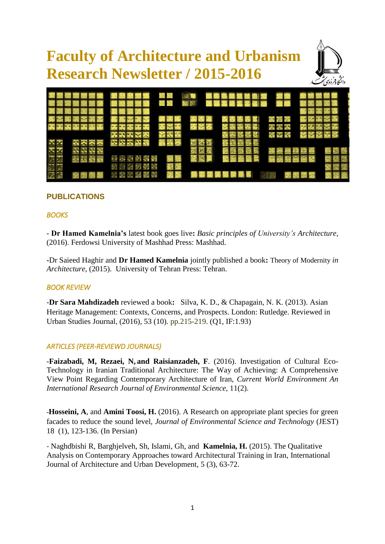# **Faculty of Architecture and Urbanism Research Newsletter / 2015-2016**





## **PUBLICATIONS**

#### *BOOKS*

- **Dr Hamed Kamelnia's** latest book goes live**:** *Basic principles of University's Architecture*, (2016). Ferdowsi University of Mashhad Press: Mashhad.

**-**Dr Saieed Haghir and **Dr Hamed Kamelnia** jointly published a book**:** Theory of Modernity *in Architecture*, (2015). University of Tehran Press: Tehran.

## *BOOK REVIEW*

-**Dr Sara Mahdizadeh** reviewed a book**:** Silva, K. D., & Chapagain, N. K. (2013). Asian Heritage Management: Contexts, Concerns, and Prospects. London: Rutledge. Reviewed in Urban Studies Journal, (2016), 53 (10). pp.215-219. (Q1, IF:1.93)

#### *ARTICLES (PEER-REVIEWD JOURNALS)*

-**Faizabadi, M, Rezaei, N, and Raisianzadeh, F**. (2016). Investigation of Cultural Eco-Technology in Iranian Traditional Architecture: The Way of Achieving: A Comprehensive View Point Regarding Contemporary Architecture of Iran, *Current World Environment An International Research Journal of Environmental Science,* 11(2).

-**Hosseini, A**, and **Amini Toosi, H.** (2016). A Research on appropriate plant species for green facades to reduce the sound level, *Journal of Environmental Science and Technology* (JEST) 18 (1), 123-136. (In Persian)

- Naghdbishi R, Barghjelveh, Sh, Islami, Gh, and **Kamelnia, H.** (2015). The Qualitative Analysis on Contemporary Approaches toward Architectural Training in Iran, International Journal of Architecture and Urban Development, 5 (3), 63-72.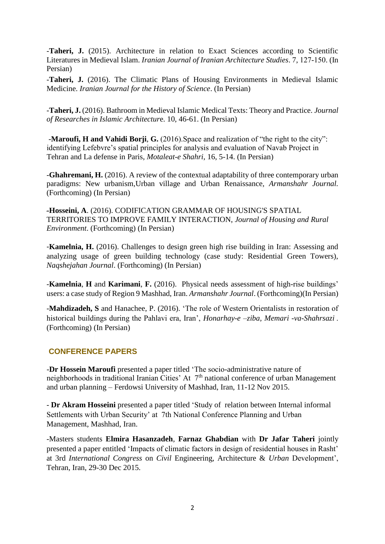-**Taheri, J.** (2015). Architecture in relation to Exact Sciences according to Scientific Literatures in Medieval Islam. *Iranian Journal of Iranian Architecture Studies*. 7, 127-150. (In Persian)

-**Taheri, J.** (2016). The Climatic Plans of Housing Environments in Medieval Islamic Medicine. *Iranian Journal for the History of Science*. (In Persian)

-**Taheri, J.** (2016). Bathroom in Medieval Islamic Medical Texts: Theory and Practice. *Journal of Researches in Islamic Architectur*e. 10, 46-61. (In Persian)

-**Maroufi, H and Vahidi Borji**, **G.** (2016).Space and realization of "the right to the city": identifying Lefebvre's spatial principles for analysis and evaluation of Navab Project in Tehran and La defense in Paris, *Motaleat-e Shahri*, 16, 5-14. (In Persian)

-**Ghahremani, H.** (2016). A review of the contextual adaptability of three contemporary urban paradigms: New urbanism,Urban village and Urban Renaissance, *Armanshahr Journal.* (Forthcoming) (In Persian)

-**Hosseini, A**. (2016). CODIFICATION GRAMMAR OF HOUSING'S SPATIAL TERRITORIES TO IMPROVE FAMILY INTERACTION, *Journal of Housing and Rural Environment*. (Forthcoming) (In Persian)

-**Kamelnia, H.** (2016). Challenges to design green high rise building in Iran: Assessing and analyzing usage of green building technology (case study: Residential Green Towers), *Naqshejahan Journal*. (Forthcoming) (In Persian)

-**Kamelnia**, **H** and **Karimani**, **F.** (2016). Physical needs assessment of high-rise buildings' users: a case study of Region 9 Mashhad, Iran. *Armanshahr Journal*. (Forthcoming)(In Persian)

-**Mahdizadeh, S** and Hanachee, P. (2016). 'The role of Western Orientalists in restoration of historical buildings during the Pahlavi era, Iran', *Honarhay-e –ziba, Memari -va-Shahrsazi* . (Forthcoming) (In Persian)

#### **CONFERENCE PAPERS**

-**Dr Hossein Maroufi** presented a paper titled 'The socio-administrative nature of neighborhoods in traditional Iranian Cities' At 7<sup>th</sup> national conference of urban Management and urban planning – Ferdowsi University of Mashhad, Iran, 11-12 Nov 2015.

- **Dr Akram Hosseini** presented a paper titled 'Study of relation between Internal informal Settlements with Urban Security' at 7th National Conference Planning and Urban Management, Mashhad, Iran.

-Masters students **Elmira Hasanzadeh**, **Farnaz Ghabdian** with **Dr Jafar Taheri** jointly presented a paper entitled 'Impacts of climatic factors in design of residential houses in Rasht' at 3rd *International Congress* on *Civil* Engineering, Architecture & *Urban* Development', Tehran, Iran, 29-30 Dec 2015.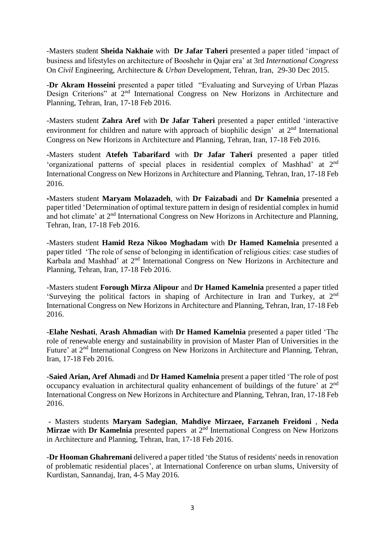-Masters student **Sheida Nakhaie** with **Dr Jafar Taheri** presented a paper titled 'impact of business and lifestyles on architecture of Booshehr in Qajar era' at 3rd *International Congress* On *Civil* Engineering, Architecture & *Urban* Development, Tehran, Iran, 29-30 Dec 2015.

-**Dr Akram Hosseini** presented a paper titled "Evaluating and Surveying of Urban Plazas Design Criterions" at 2<sup>nd</sup> International Congress on New Horizons in Architecture and Planning, Tehran, Iran, 17-18 Feb 2016.

-Masters student **Zahra Aref** with **Dr Jafar Taheri** presented a paper entitled 'interactive environment for children and nature with approach of biophilic design' at 2<sup>nd</sup> International Congress on New Horizons in Architecture and Planning, Tehran, Iran, 17-18 Feb 2016.

**-**Masters student **Atefeh Tabarifard** with **Dr Jafar Taheri** presented a paper titled 'organizational patterns of special places in residential complex of Mashhad' at 2nd International Congress on New Horizons in Architecture and Planning, Tehran, Iran, 17-18 Feb 2016.

**-**Masters student **Maryam Molazadeh**, with **Dr Faizabadi** and **Dr Kamelnia** presented a paper titled 'Determination of optimal texture pattern in design of residential complex in humid and hot climate' at 2nd International Congress on New Horizons in Architecture and Planning, Tehran, Iran, 17-18 Feb 2016.

-Masters student **Hamid Reza Nikoo Moghadam** with **Dr Hamed Kamelnia** presented a paper titled 'The role of sense of belonging in identification of religious cities: case studies of Karbala and Mashhad' at 2nd International Congress on New Horizons in Architecture and Planning, Tehran, Iran, 17-18 Feb 2016.

-Masters student **Forough Mirza Alipour** and **Dr Hamed Kamelnia** presented a paper titled 'Surveying the political factors in shaping of Architecture in Iran and Turkey, at 2nd International Congress on New Horizons in Architecture and Planning, Tehran, Iran, 17-18 Feb 2016.

-**Elahe Neshati**, **Arash Ahmadian** with **Dr Hamed Kamelnia** presented a paper titled 'The role of renewable energy and sustainability in provision of Master Plan of Universities in the Future' at 2nd International Congress on New Horizons in Architecture and Planning, Tehran, Iran, 17-18 Feb 2016.

-**Saied Arian, Aref Ahmadi** and **Dr Hamed Kamelnia** present a paper titled 'The role of post occupancy evaluation in architectural quality enhancement of buildings of the future' at 2nd International Congress on New Horizons in Architecture and Planning, Tehran, Iran, 17-18 Feb 2016.

**-** Masters students **Maryam Sadegian**, **Mahdiye Mirzaee, Farzaneh Freidoni** , **Neda Mirzae** with **Dr Kamelnia** presented papers at 2<sup>nd</sup> International Congress on New Horizons in Architecture and Planning, Tehran, Iran, 17-18 Feb 2016.

-**Dr Hooman Ghahremani** delivered a paper titled 'the Status of residents' needs in renovation of problematic residential places', at International Conference on urban slums, University of Kurdistan, Sannandaj, Iran, 4-5 May 2016.